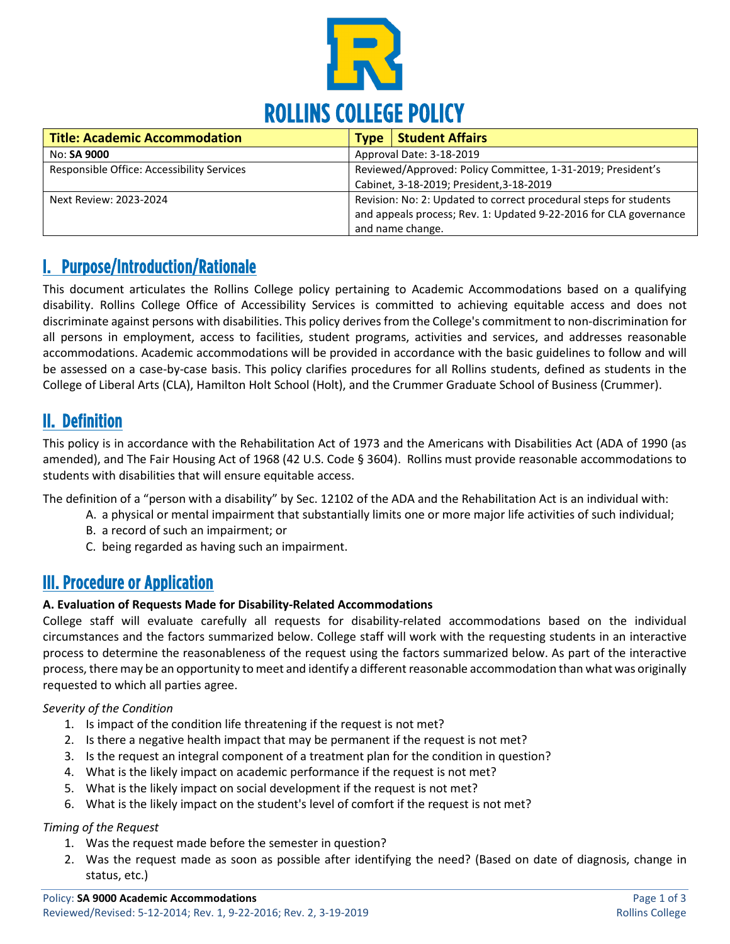

| <b>Title: Academic Accommodation</b>       | <b>Type</b>                                                 | <b>Student Affairs</b>                                            |
|--------------------------------------------|-------------------------------------------------------------|-------------------------------------------------------------------|
| No: <b>SA 9000</b>                         | Approval Date: 3-18-2019                                    |                                                                   |
| Responsible Office: Accessibility Services | Reviewed/Approved: Policy Committee, 1-31-2019; President's |                                                                   |
|                                            |                                                             | Cabinet, 3-18-2019; President, 3-18-2019                          |
| Next Review: 2023-2024                     |                                                             | Revision: No: 2: Updated to correct procedural steps for students |
|                                            |                                                             | and appeals process; Rev. 1: Updated 9-22-2016 for CLA governance |
|                                            |                                                             | and name change.                                                  |

# I. Purpose/Introduction/Rationale

This document articulates the Rollins College policy pertaining to Academic Accommodations based on a qualifying disability. Rollins College Office of Accessibility Services is committed to achieving equitable access and does not discriminate against persons with disabilities. This policy derives from the College's commitment to non-discrimination for all persons in employment, access to facilities, student programs, activities and services, and addresses reasonable accommodations. Academic accommodations will be provided in accordance with the basic guidelines to follow and will be assessed on a case-by-case basis. This policy clarifies procedures for all Rollins students, defined as students in the College of Liberal Arts (CLA), Hamilton Holt School (Holt), and the Crummer Graduate School of Business (Crummer).

## II. Definition

This policy is in accordance with the Rehabilitation Act of 1973 and the Americans with Disabilities Act (ADA of 1990 (as amended), and The Fair Housing Act of 1968 (42 U.S. Code § 3604). Rollins must provide reasonable accommodations to students with disabilities that will ensure equitable access.

The definition of a "person with a disability" by Sec. 12102 of the ADA and the Rehabilitation Act is an individual with:

- A. a physical or mental impairment that substantially limits one or more major life activities of such individual;
- B. a record of such an impairment; or
- C. being regarded as having such an impairment.

# III. Procedure or Application

### **A. Evaluation of Requests Made for Disability-Related Accommodations**

College staff will evaluate carefully all requests for disability-related accommodations based on the individual circumstances and the factors summarized below. College staff will work with the requesting students in an interactive process to determine the reasonableness of the request using the factors summarized below. As part of the interactive process, there may be an opportunity to meet and identify a different reasonable accommodation than what was originally requested to which all parties agree.

### *Severity of the Condition*

- 1. Is impact of the condition life threatening if the request is not met?
- 2. Is there a negative health impact that may be permanent if the request is not met?
- 3. Is the request an integral component of a treatment plan for the condition in question?
- 4. What is the likely impact on academic performance if the request is not met?
- 5. What is the likely impact on social development if the request is not met?
- 6. What is the likely impact on the student's level of comfort if the request is not met?

### *Timing of the Request*

- 1. Was the request made before the semester in question?
- 2. Was the request made as soon as possible after identifying the need? (Based on date of diagnosis, change in status, etc.)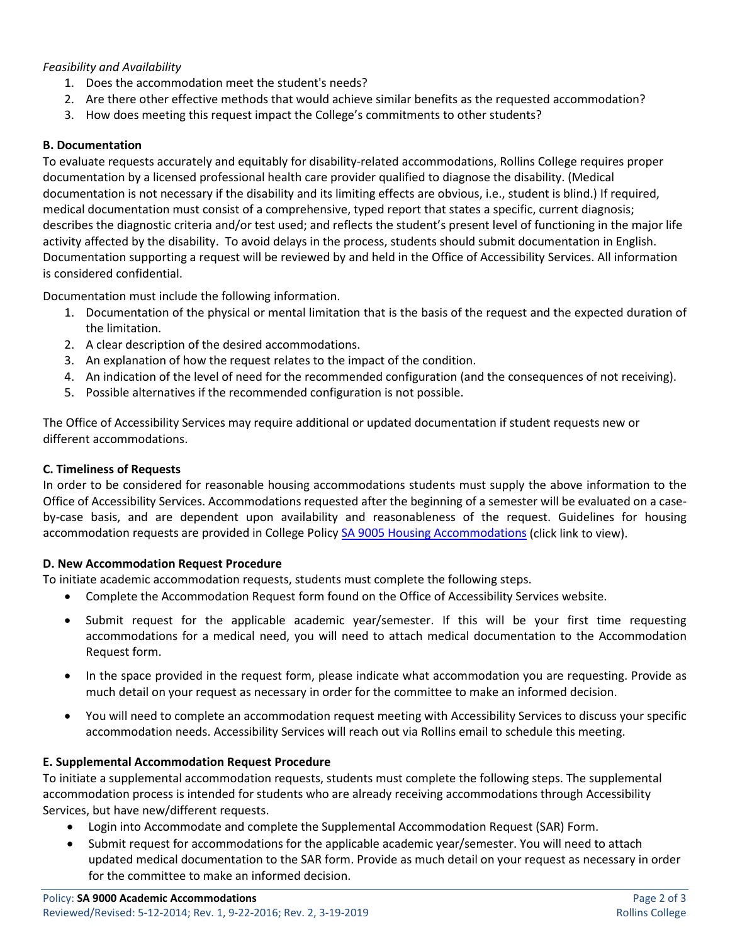#### *Feasibility and Availability*

- 1. Does the accommodation meet the student's needs?
- 2. Are there other effective methods that would achieve similar benefits as the requested accommodation?
- 3. How does meeting this request impact the College's commitments to other students?

#### **B. Documentation**

To evaluate requests accurately and equitably for disability-related accommodations, Rollins College requires proper documentation by a licensed professional health care provider qualified to diagnose the disability. (Medical documentation is not necessary if the disability and its limiting effects are obvious, i.e., student is blind.) If required, medical documentation must consist of a comprehensive, typed report that states a specific, current diagnosis; describes the diagnostic criteria and/or test used; and reflects the student's present level of functioning in the major life activity affected by the disability. To avoid delays in the process, students should submit documentation in English. Documentation supporting a request will be reviewed by and held in the Office of Accessibility Services. All information is considered confidential.

Documentation must include the following information.

- 1. Documentation of the physical or mental limitation that is the basis of the request and the expected duration of the limitation.
- 2. A clear description of the desired accommodations.
- 3. An explanation of how the request relates to the impact of the condition.
- 4. An indication of the level of need for the recommended configuration (and the consequences of not receiving).
- 5. Possible alternatives if the recommended configuration is not possible.

The Office of Accessibility Services may require additional or updated documentation if student requests new or different accommodations.

#### **C. Timeliness of Requests**

In order to be considered for reasonable housing accommodations students must supply the above information to the Office of Accessibility Services. Accommodations requested after the beginning of a semester will be evaluated on a caseby-case basis, and are dependent upon availability and reasonableness of the request. Guidelines for housing accommodation requests are provided in College Polic[y SA 9005 Housing Accommodations](https://rpublic.rollins.edu/sites/IR/Student%20Affairs%20Policies/SA%209005%20Housing%20Accommodations%205-12-2017.pdf) (click link to view).

#### **D. New Accommodation Request Procedure**

To initiate academic accommodation requests, students must complete the following steps.

- Complete the Accommodation Request form found on the Office of Accessibility Services website.
- Submit request for the applicable academic year/semester. If this will be your first time requesting accommodations for a medical need, you will need to attach medical documentation to the Accommodation Request form.
- In the space provided in the request form, please indicate what accommodation you are requesting. Provide as much detail on your request as necessary in order for the committee to make an informed decision.
- You will need to complete an accommodation request meeting with Accessibility Services to discuss your specific accommodation needs. Accessibility Services will reach out via Rollins email to schedule this meeting.

#### **E. Supplemental Accommodation Request Procedure**

To initiate a supplemental accommodation requests, students must complete the following steps. The supplemental accommodation process is intended for students who are already receiving accommodations through Accessibility Services, but have new/different requests.

- Login into Accommodate and complete the Supplemental Accommodation Request (SAR) Form.
- Submit request for accommodations for the applicable academic year/semester. You will need to attach updated medical documentation to the SAR form. Provide as much detail on your request as necessary in order for the committee to make an informed decision.